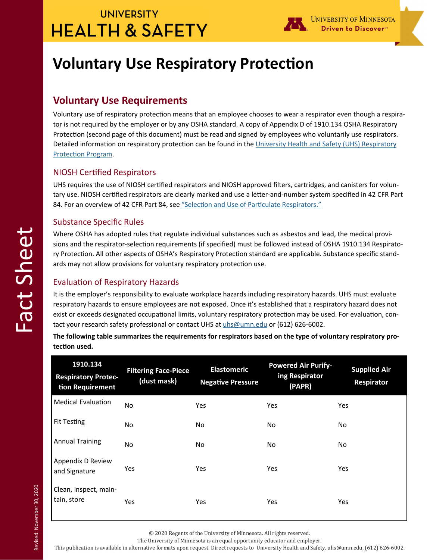## **UNIVERSITY HEALTH & SAFETY**



# **Voluntary Use Respiratory Protection**

### **Voluntary Use Requirements**

Voluntary use of respiratory protection means that an employee chooses to wear a respirator even though a respirator is not required by the employer or by any OSHA standard. A copy of Appendix D of 1910.134 OSHA Respiratory Protection (second page of this document) must be read and signed by employees who voluntarily use respirators. Detailed information on respiratory protection can be found in the University Health and Safety (UHS) Respiratory Protection Program.

#### **NIOSH Certified Respirators**

UHS requires the use of NIOSH certified respirators and NIOSH approved filters, cartridges, and canisters for voluntary use. NIOSH certified respirators are clearly marked and use a letter-and-number system specified in 42 CFR Part 84. For an overview of 42 CFR Part 84, see "Selection and Use of Particulate Respirators."

#### Substance Specific Rules

Where OSHA has adopted rules that regulate individual substances such as asbestos and lead, the medical provisions and the respirator-selection requirements (if specified) must be followed instead of OSHA 1910.134 Respiratory Protection. All other aspects of OSHA's Respiratory Protection standard are applicable. Substance specific standards may not allow provisions for voluntary respiratory protection use.

### Evaluation of Respiratory Hazards

It is the employer's responsibility to evaluate workplace hazards including respiratory hazards. UHS must evaluate respiratory hazards to ensure employees are not exposed. Once it's established that a respiratory hazard does not exist or exceeds designated occupational limits, voluntary respiratory protection may be used. For evaluation, contact your research safety professional or contact UHS at uhs@umn.edu or (612) 626-6002.

**The following table summarizes the requirements for respirators based on the type of voluntary respiratory protecƟon used.** 

| 1910.134<br><b>Respiratory Protec-</b><br>tion Requirement | <b>Filtering Face-Piece</b><br>(dust mask) | <b>Elastomeric</b><br><b>Negative Pressure</b> | <b>Powered Air Purify-</b><br>ing Respirator<br>(PAPR) | <b>Supplied Air</b><br>Respirator |
|------------------------------------------------------------|--------------------------------------------|------------------------------------------------|--------------------------------------------------------|-----------------------------------|
| <b>Medical Evaluation</b>                                  | No.                                        | Yes                                            | Yes                                                    | Yes                               |
| <b>Fit Testing</b>                                         | No.                                        | No                                             | No                                                     | No                                |
| <b>Annual Training</b>                                     | No.                                        | No.                                            | No                                                     | No                                |
| Appendix D Review<br>and Signature                         | Yes                                        | Yes                                            | Yes                                                    | Yes                               |
| Clean, inspect, main-<br>tain, store                       | Yes                                        | Yes                                            | Yes                                                    | Yes                               |

© 2020 Regents of the University of Minnesota. All rights reserved.

The University of Minnesota is an equal opportunity educator and employer. 

This publication is available in alternative formats upon request. Direct requests to University Health and Safety, uhs@umn.edu, (612) 626-6002.